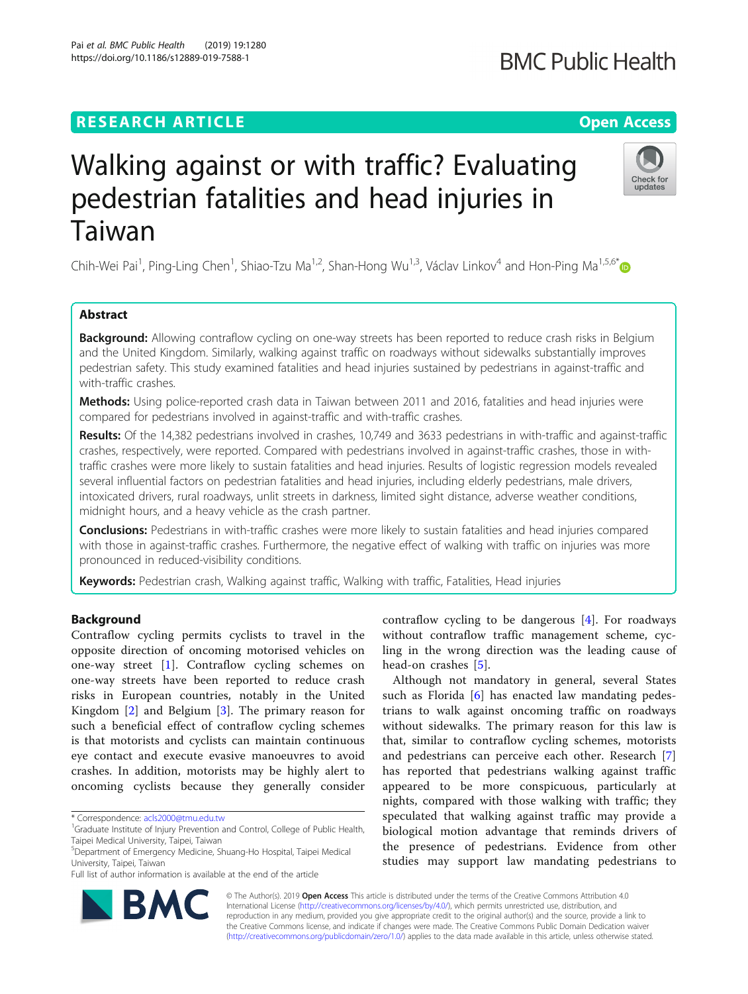## **RESEARCH ARTICLE Example 2014 12:30 The Open Access**

# Walking against or with traffic? Evaluating pedestrian fatalities and head injuries in Taiwan

Chih-Wei Pai<sup>1</sup>, Ping-Ling Chen<sup>1</sup>, Shiao-Tzu Ma<sup>1,2</sup>, Shan-Hong Wu<sup>1,3</sup>, Václav Linkov<sup>4</sup> and Hon-Ping Ma<sup>1,5,6[\\*](http://orcid.org/0000-0001-7568-1451)</sup>

## Abstract

Background: Allowing contraflow cycling on one-way streets has been reported to reduce crash risks in Belgium and the United Kingdom. Similarly, walking against traffic on roadways without sidewalks substantially improves pedestrian safety. This study examined fatalities and head injuries sustained by pedestrians in against-traffic and with-traffic crashes.

Methods: Using police-reported crash data in Taiwan between 2011 and 2016, fatalities and head injuries were compared for pedestrians involved in against-traffic and with-traffic crashes.

Results: Of the 14,382 pedestrians involved in crashes, 10,749 and 3633 pedestrians in with-traffic and against-traffic crashes, respectively, were reported. Compared with pedestrians involved in against-traffic crashes, those in withtraffic crashes were more likely to sustain fatalities and head injuries. Results of logistic regression models revealed several influential factors on pedestrian fatalities and head injuries, including elderly pedestrians, male drivers, intoxicated drivers, rural roadways, unlit streets in darkness, limited sight distance, adverse weather conditions, midnight hours, and a heavy vehicle as the crash partner.

**Conclusions:** Pedestrians in with-traffic crashes were more likely to sustain fatalities and head injuries compared with those in against-traffic crashes. Furthermore, the negative effect of walking with traffic on injuries was more pronounced in reduced-visibility conditions.

Keywords: Pedestrian crash, Walking against traffic, Walking with traffic, Fatalities, Head injuries

## Background

Contraflow cycling permits cyclists to travel in the opposite direction of oncoming motorised vehicles on one-way street [[1\]](#page-9-0). Contraflow cycling schemes on one-way streets have been reported to reduce crash risks in European countries, notably in the United Kingdom [\[2](#page-9-0)] and Belgium [\[3](#page-9-0)]. The primary reason for such a beneficial effect of contraflow cycling schemes is that motorists and cyclists can maintain continuous eye contact and execute evasive manoeuvres to avoid crashes. In addition, motorists may be highly alert to oncoming cyclists because they generally consider

© The Author(s). 2019 **Open Access** This article is distributed under the terms of the Creative Commons Attribution 4.0 International License [\(http://creativecommons.org/licenses/by/4.0/](http://creativecommons.org/licenses/by/4.0/)), which permits unrestricted use, distribution, and reproduction in any medium, provided you give appropriate credit to the original author(s) and the source, provide a link to the Creative Commons license, and indicate if changes were made. The Creative Commons Public Domain Dedication waiver [\(http://creativecommons.org/publicdomain/zero/1.0/](http://creativecommons.org/publicdomain/zero/1.0/)) applies to the data made available in this article, unless otherwise stated.



contraflow cycling to be dangerous [[4](#page-9-0)]. For roadways without contraflow traffic management scheme, cycling in the wrong direction was the leading cause of head-on crashes [\[5](#page-9-0)].

Although not mandatory in general, several States such as Florida [[6\]](#page-9-0) has enacted law mandating pedestrians to walk against oncoming traffic on roadways without sidewalks. The primary reason for this law is that, similar to contraflow cycling schemes, motorists and pedestrians can perceive each other. Research [\[7](#page-9-0)] has reported that pedestrians walking against traffic appeared to be more conspicuous, particularly at nights, compared with those walking with traffic; they speculated that walking against traffic may provide a biological motion advantage that reminds drivers of the presence of pedestrians. Evidence from other studies may support law mandating pedestrians to

**BMC Public Health** 



<sup>\*</sup> Correspondence: [acls2000@tmu.edu.tw](mailto:acls2000@tmu.edu.tw) <sup>1</sup>

<sup>&</sup>lt;sup>1</sup>Graduate Institute of Injury Prevention and Control, College of Public Health, Taipei Medical University, Taipei, Taiwan

<sup>5</sup> Department of Emergency Medicine, Shuang-Ho Hospital, Taipei Medical University, Taipei, Taiwan

Full list of author information is available at the end of the article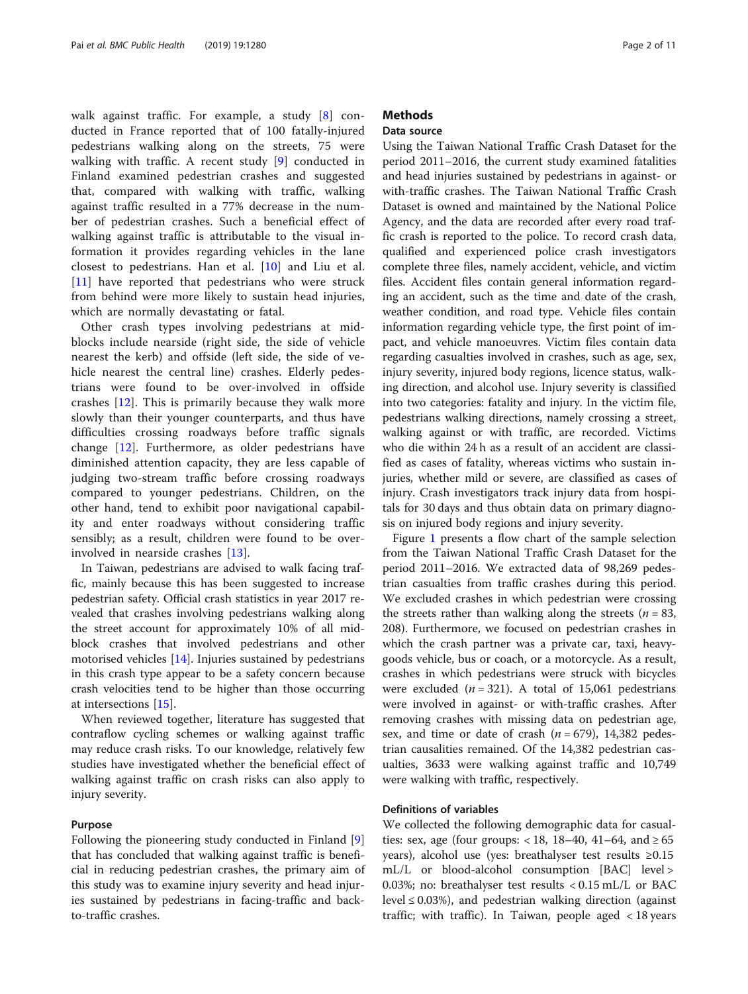walk against traffic. For example, a study [[8](#page-9-0)] conducted in France reported that of 100 fatally-injured pedestrians walking along on the streets, 75 were walking with traffic. A recent study [\[9](#page-9-0)] conducted in Finland examined pedestrian crashes and suggested that, compared with walking with traffic, walking against traffic resulted in a 77% decrease in the number of pedestrian crashes. Such a beneficial effect of walking against traffic is attributable to the visual information it provides regarding vehicles in the lane closest to pedestrians. Han et al. [[10\]](#page-9-0) and Liu et al. [[11\]](#page-9-0) have reported that pedestrians who were struck from behind were more likely to sustain head injuries, which are normally devastating or fatal.

Other crash types involving pedestrians at midblocks include nearside (right side, the side of vehicle nearest the kerb) and offside (left side, the side of vehicle nearest the central line) crashes. Elderly pedestrians were found to be over-involved in offside crashes [\[12](#page-9-0)]. This is primarily because they walk more slowly than their younger counterparts, and thus have difficulties crossing roadways before traffic signals change [[12\]](#page-9-0). Furthermore, as older pedestrians have diminished attention capacity, they are less capable of judging two-stream traffic before crossing roadways compared to younger pedestrians. Children, on the other hand, tend to exhibit poor navigational capability and enter roadways without considering traffic sensibly; as a result, children were found to be overinvolved in nearside crashes [[13\]](#page-9-0).

In Taiwan, pedestrians are advised to walk facing traffic, mainly because this has been suggested to increase pedestrian safety. Official crash statistics in year 2017 revealed that crashes involving pedestrians walking along the street account for approximately 10% of all midblock crashes that involved pedestrians and other motorised vehicles [[14\]](#page-9-0). Injuries sustained by pedestrians in this crash type appear to be a safety concern because crash velocities tend to be higher than those occurring at intersections [\[15\]](#page-9-0).

When reviewed together, literature has suggested that contraflow cycling schemes or walking against traffic may reduce crash risks. To our knowledge, relatively few studies have investigated whether the beneficial effect of walking against traffic on crash risks can also apply to injury severity.

#### Purpose

Following the pioneering study conducted in Finland [\[9](#page-9-0)] that has concluded that walking against traffic is beneficial in reducing pedestrian crashes, the primary aim of this study was to examine injury severity and head injuries sustained by pedestrians in facing-traffic and backto-traffic crashes.

## **Methods**

## Data source

Using the Taiwan National Traffic Crash Dataset for the period 2011–2016, the current study examined fatalities and head injuries sustained by pedestrians in against- or with-traffic crashes. The Taiwan National Traffic Crash Dataset is owned and maintained by the National Police Agency, and the data are recorded after every road traffic crash is reported to the police. To record crash data, qualified and experienced police crash investigators complete three files, namely accident, vehicle, and victim files. Accident files contain general information regarding an accident, such as the time and date of the crash, weather condition, and road type. Vehicle files contain information regarding vehicle type, the first point of impact, and vehicle manoeuvres. Victim files contain data regarding casualties involved in crashes, such as age, sex, injury severity, injured body regions, licence status, walking direction, and alcohol use. Injury severity is classified into two categories: fatality and injury. In the victim file, pedestrians walking directions, namely crossing a street, walking against or with traffic, are recorded. Victims who die within 24 h as a result of an accident are classified as cases of fatality, whereas victims who sustain injuries, whether mild or severe, are classified as cases of injury. Crash investigators track injury data from hospitals for 30 days and thus obtain data on primary diagnosis on injured body regions and injury severity.

Figure [1](#page-2-0) presents a flow chart of the sample selection from the Taiwan National Traffic Crash Dataset for the period 2011–2016. We extracted data of 98,269 pedestrian casualties from traffic crashes during this period. We excluded crashes in which pedestrian were crossing the streets rather than walking along the streets ( $n = 83$ , 208). Furthermore, we focused on pedestrian crashes in which the crash partner was a private car, taxi, heavygoods vehicle, bus or coach, or a motorcycle. As a result, crashes in which pedestrians were struck with bicycles were excluded  $(n = 321)$ . A total of 15,061 pedestrians were involved in against- or with-traffic crashes. After removing crashes with missing data on pedestrian age, sex, and time or date of crash  $(n = 679)$ , 14,382 pedestrian causalities remained. Of the 14,382 pedestrian casualties, 3633 were walking against traffic and 10,749 were walking with traffic, respectively.

#### Definitions of variables

We collected the following demographic data for casualties: sex, age (four groups: <18, 18–40, 41–64, and  $\ge 65$ years), alcohol use (yes: breathalyser test results ≥0.15 mL/L or blood-alcohol consumption [BAC] level > 0.03%; no: breathalyser test results < 0.15 mL/L or BAC level  $\leq$  0.03%), and pedestrian walking direction (against traffic; with traffic). In Taiwan, people aged < 18 years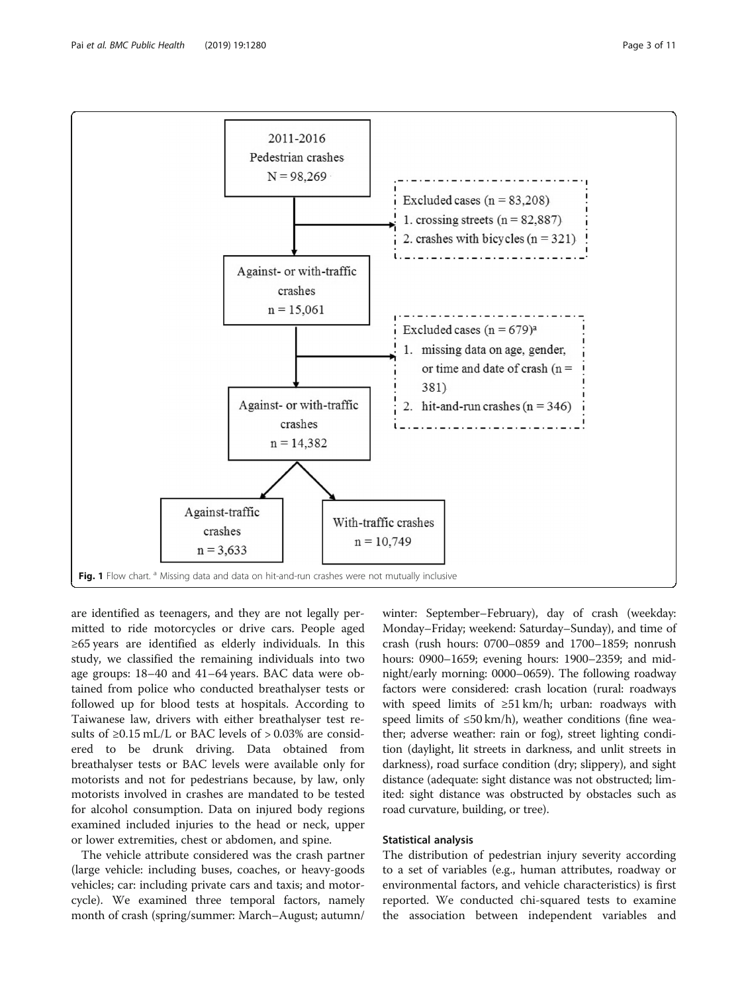<span id="page-2-0"></span>

are identified as teenagers, and they are not legally permitted to ride motorcycles or drive cars. People aged ≥65 years are identified as elderly individuals. In this study, we classified the remaining individuals into two age groups: 18–40 and 41–64 years. BAC data were obtained from police who conducted breathalyser tests or followed up for blood tests at hospitals. According to Taiwanese law, drivers with either breathalyser test results of ≥0.15 mL/L or BAC levels of > 0.03% are considered to be drunk driving. Data obtained from breathalyser tests or BAC levels were available only for motorists and not for pedestrians because, by law, only motorists involved in crashes are mandated to be tested for alcohol consumption. Data on injured body regions examined included injuries to the head or neck, upper or lower extremities, chest or abdomen, and spine.

The vehicle attribute considered was the crash partner (large vehicle: including buses, coaches, or heavy-goods vehicles; car: including private cars and taxis; and motorcycle). We examined three temporal factors, namely month of crash (spring/summer: March–August; autumn/

winter: September–February), day of crash (weekday: Monday–Friday; weekend: Saturday–Sunday), and time of crash (rush hours: 0700–0859 and 1700–1859; nonrush hours: 0900–1659; evening hours: 1900–2359; and midnight/early morning: 0000–0659). The following roadway factors were considered: crash location (rural: roadways with speed limits of  $\geq 51$  km/h; urban: roadways with speed limits of ≤50 km/h), weather conditions (fine weather; adverse weather: rain or fog), street lighting condition (daylight, lit streets in darkness, and unlit streets in darkness), road surface condition (dry; slippery), and sight distance (adequate: sight distance was not obstructed; limited: sight distance was obstructed by obstacles such as road curvature, building, or tree).

#### Statistical analysis

The distribution of pedestrian injury severity according to a set of variables (e.g., human attributes, roadway or environmental factors, and vehicle characteristics) is first reported. We conducted chi-squared tests to examine the association between independent variables and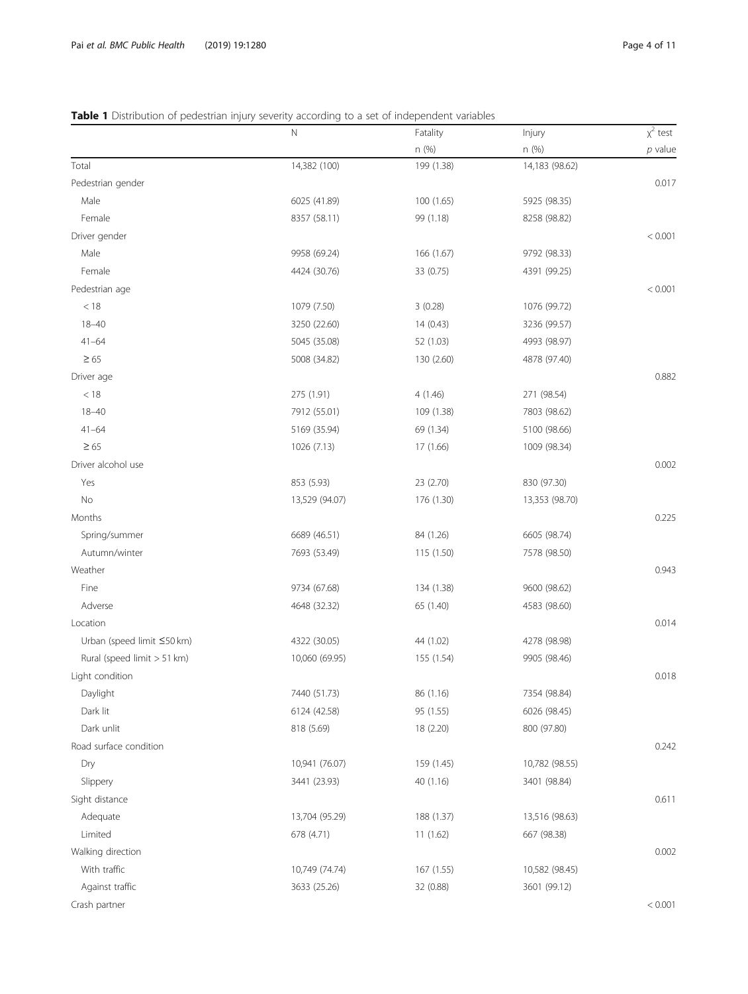## <span id="page-3-0"></span>Table 1 Distribution of pedestrian injury severity according to a set of independent variables

|                             | N              | Fatality   | Injury         | $x^2$ test |
|-----------------------------|----------------|------------|----------------|------------|
|                             |                | n (%)      | n (%)          | $p$ value  |
| Total                       | 14,382 (100)   | 199 (1.38) | 14,183 (98.62) |            |
| Pedestrian gender           |                |            |                | 0.017      |
| Male                        | 6025 (41.89)   | 100 (1.65) | 5925 (98.35)   |            |
| Female                      | 8357 (58.11)   | 99 (1.18)  | 8258 (98.82)   |            |
| Driver gender               |                |            |                | < 0.001    |
| Male                        | 9958 (69.24)   | 166 (1.67) | 9792 (98.33)   |            |
| Female                      | 4424 (30.76)   | 33 (0.75)  | 4391 (99.25)   |            |
| Pedestrian age              |                |            |                | < 0.001    |
| < 18                        | 1079 (7.50)    | 3(0.28)    | 1076 (99.72)   |            |
| $18 - 40$                   | 3250 (22.60)   | 14(0.43)   | 3236 (99.57)   |            |
| $41 - 64$                   | 5045 (35.08)   | 52 (1.03)  | 4993 (98.97)   |            |
| $\geq 65$                   | 5008 (34.82)   | 130 (2.60) | 4878 (97.40)   |            |
| Driver age                  |                |            |                | 0.882      |
| < 18                        | 275 (1.91)     | 4(1.46)    | 271 (98.54)    |            |
| $18 - 40$                   | 7912 (55.01)   | 109 (1.38) | 7803 (98.62)   |            |
| $41 - 64$                   | 5169 (35.94)   | 69 (1.34)  | 5100 (98.66)   |            |
| $\geq 65$                   | 1026 (7.13)    | 17 (1.66)  | 1009 (98.34)   |            |
| Driver alcohol use          |                |            |                | 0.002      |
| Yes                         | 853 (5.93)     | 23 (2.70)  | 830 (97.30)    |            |
| No                          | 13,529 (94.07) | 176 (1.30) | 13,353 (98.70) |            |
| Months                      |                |            |                | 0.225      |
| Spring/summer               | 6689 (46.51)   | 84 (1.26)  | 6605 (98.74)   |            |
| Autumn/winter               | 7693 (53.49)   | 115 (1.50) | 7578 (98.50)   |            |
| Weather                     |                |            |                | 0.943      |
| Fine                        | 9734 (67.68)   | 134 (1.38) | 9600 (98.62)   |            |
| Adverse                     | 4648 (32.32)   | 65 (1.40)  | 4583 (98.60)   |            |
| Location                    |                |            |                | 0.014      |
| Urban (speed limit ≤50 km)  | 4322 (30.05)   | 44 (1.02)  | 4278 (98.98)   |            |
| Rural (speed limit > 51 km) | 10,060 (69.95) | 155 (1.54) | 9905 (98.46)   |            |
| Light condition             |                |            |                | 0.018      |
| Daylight                    | 7440 (51.73)   | 86 (1.16)  | 7354 (98.84)   |            |
| Dark lit                    | 6124 (42.58)   | 95 (1.55)  | 6026 (98.45)   |            |
| Dark unlit                  | 818 (5.69)     | 18 (2.20)  | 800 (97.80)    |            |
| Road surface condition      |                |            |                | 0.242      |
| Dry                         | 10,941 (76.07) | 159 (1.45) | 10,782 (98.55) |            |
| Slippery                    | 3441 (23.93)   | 40 (1.16)  | 3401 (98.84)   |            |
| Sight distance              |                |            |                | 0.611      |
| Adequate                    | 13,704 (95.29) | 188 (1.37) | 13,516 (98.63) |            |
| Limited                     | 678 (4.71)     | 11(1.62)   | 667 (98.38)    |            |
| Walking direction           |                |            |                | 0.002      |
| With traffic                | 10,749 (74.74) | 167 (1.55) | 10,582 (98.45) |            |
| Against traffic             | 3633 (25.26)   | 32 (0.88)  | 3601 (99.12)   |            |
| Crash partner               |                |            |                | < 0.001    |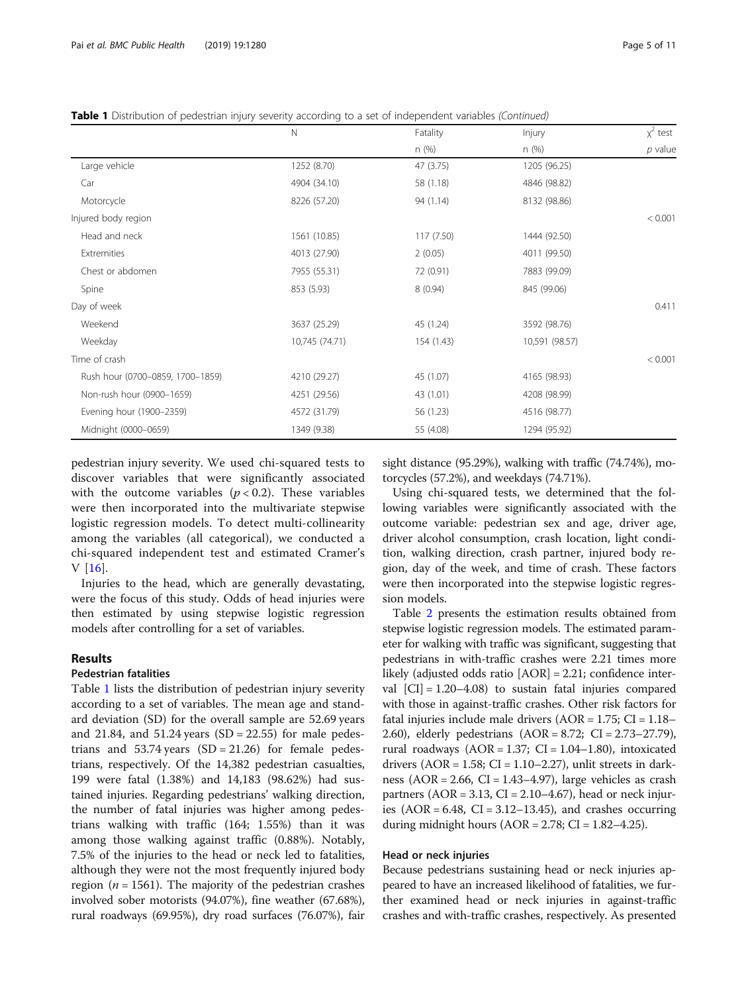Table 1 Distribution of pedestrian injury severity according to a set of independent variables (Continued)

|                                  | $\mathbb N$    | Fatality   | Injury         | $x^2$ test |
|----------------------------------|----------------|------------|----------------|------------|
|                                  |                | n(%)       | n(%)           | $p$ value  |
| Large vehicle                    | 1252 (8.70)    | 47 (3.75)  | 1205 (96.25)   |            |
| Car                              | 4904 (34.10)   | 58 (1.18)  | 4846 (98.82)   |            |
| Motorcycle                       | 8226 (57.20)   | 94 (1.14)  | 8132 (98.86)   |            |
| Injured body region              |                |            |                | < 0.001    |
| Head and neck                    | 1561 (10.85)   | 117 (7.50) | 1444 (92.50)   |            |
| Extremities                      | 4013 (27.90)   | 2(0.05)    | 4011 (99.50)   |            |
| Chest or abdomen                 | 7955 (55.31)   | 72 (0.91)  | 7883 (99.09)   |            |
| Spine                            | 853 (5.93)     | 8(0.94)    | 845 (99.06)    |            |
| Day of week                      |                |            |                | 0.411      |
| Weekend                          | 3637 (25.29)   | 45 (1.24)  | 3592 (98.76)   |            |
| Weekday                          | 10,745 (74.71) | 154 (1.43) | 10,591 (98.57) |            |
| Time of crash                    |                |            |                | < 0.001    |
| Rush hour (0700-0859, 1700-1859) | 4210 (29.27)   | 45 (1.07)  | 4165 (98.93)   |            |
| Non-rush hour (0900-1659)        | 4251 (29.56)   | 43 (1.01)  | 4208 (98.99)   |            |
| Evening hour (1900-2359)         | 4572 (31.79)   | 56 (1.23)  | 4516 (98.77)   |            |
| Midnight (0000-0659)             | 1349 (9.38)    | 55 (4.08)  | 1294 (95.92)   |            |

pedestrian injury severity. We used chi-squared tests to discover variables that were significantly associated with the outcome variables ( $p < 0.2$ ). These variables were then incorporated into the multivariate stepwise logistic regression models. To detect multi-collinearity among the variables (all categorical), we conducted a chi-squared independent test and estimated Cramer's V [[16\]](#page-9-0).

Injuries to the head, which are generally devastating, were the focus of this study. Odds of head injuries were then estimated by using stepwise logistic regression models after controlling for a set of variables.

### Results

## Pedestrian fatalities

Table [1](#page-3-0) lists the distribution of pedestrian injury severity according to a set of variables. The mean age and standard deviation (SD) for the overall sample are 52.69 years and 21.84, and  $51.24$  years (SD = 22.55) for male pedestrians and  $53.74$  years  $(SD = 21.26)$  for female pedestrians, respectively. Of the 14,382 pedestrian casualties, 199 were fatal (1.38%) and 14,183 (98.62%) had sustained injuries. Regarding pedestrians' walking direction, the number of fatal injuries was higher among pedestrians walking with traffic (164; 1.55%) than it was among those walking against traffic (0.88%). Notably, 7.5% of the injuries to the head or neck led to fatalities, although they were not the most frequently injured body region ( $n = 1561$ ). The majority of the pedestrian crashes involved sober motorists (94.07%), fine weather (67.68%), rural roadways (69.95%), dry road surfaces (76.07%), fair

sight distance (95.29%), walking with traffic (74.74%), motorcycles (57.2%), and weekdays (74.71%).

Using chi-squared tests, we determined that the following variables were significantly associated with the outcome variable: pedestrian sex and age, driver age, driver alcohol consumption, crash location, light condition, walking direction, crash partner, injured body region, day of the week, and time of crash. These factors were then incorporated into the stepwise logistic regression models.

Table [2](#page-5-0) presents the estimation results obtained from stepwise logistic regression models. The estimated parameter for walking with traffic was significant, suggesting that pedestrians in with-traffic crashes were 2.21 times more likely (adjusted odds ratio [AOR] = 2.21; confidence interval  $|CI| = 1.20 - 4.08$  to sustain fatal injuries compared with those in against-traffic crashes. Other risk factors for fatal injuries include male drivers ( $AOR = 1.75$ ;  $CI = 1.18-$ 2.60), elderly pedestrians (AOR = 8.72; CI = 2.73–27.79), rural roadways  $(AOR = 1.37; CI = 1.04-1.80)$ , intoxicated drivers ( $AOR = 1.58$ ;  $CI = 1.10-2.27$ ), unlit streets in darkness (AOR = 2.66, CI = 1.43–4.97), large vehicles as crash partners ( $AOR = 3.13$ ,  $CI = 2.10-4.67$ ), head or neck injuries  $(AOR = 6.48, CI = 3.12 - 13.45)$ , and crashes occurring during midnight hours  $(AOR = 2.78; CI = 1.82-4.25)$ .

## Head or neck injuries

Because pedestrians sustaining head or neck injuries appeared to have an increased likelihood of fatalities, we further examined head or neck injuries in against-traffic crashes and with-traffic crashes, respectively. As presented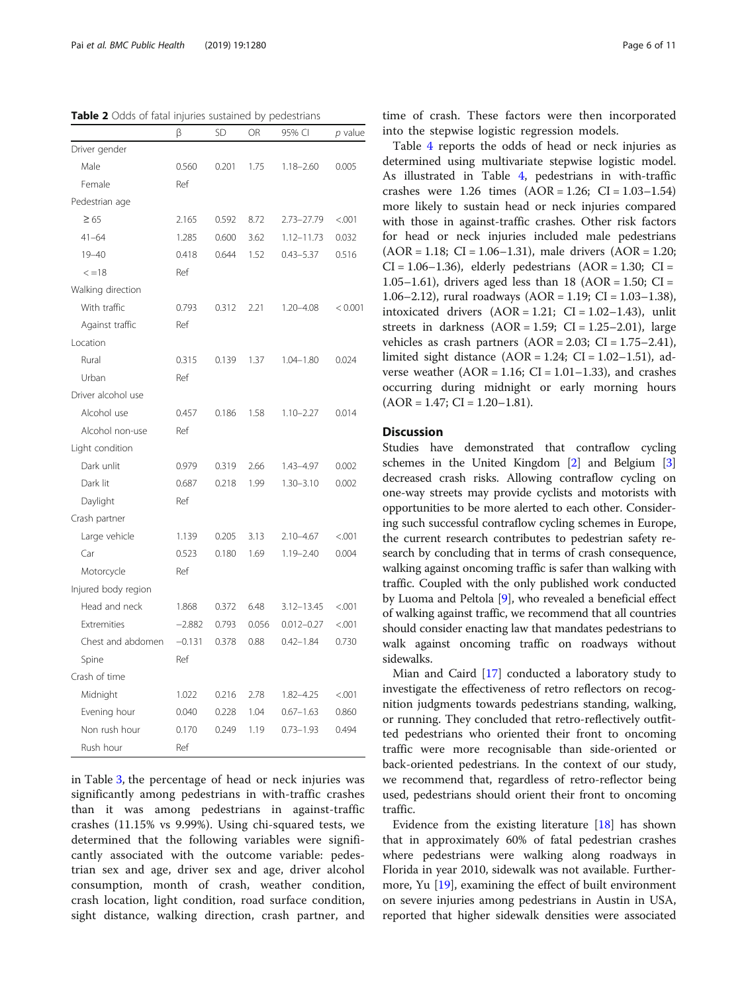<span id="page-5-0"></span>Table 2 Odds of fatal injuries sustained by pedestrians

|                     | β        | SD    | OR    | 95% CI         | $p$ value |
|---------------------|----------|-------|-------|----------------|-----------|
| Driver gender       |          |       |       |                |           |
| Male                | 0.560    | 0.201 | 1.75  | $1.18 - 2.60$  | 0.005     |
| Female              | Ref      |       |       |                |           |
| Pedestrian age      |          |       |       |                |           |
| $\geq 65$           | 2.165    | 0.592 | 8.72  | 2.73-27.79     | < .001    |
| $41 - 64$           | 1.285    | 0.600 | 3.62  | 1.12-11.73     | 0.032     |
| $19 - 40$           | 0.418    | 0.644 | 1.52  | $0.43 - 5.37$  | 0.516     |
| $\leq$ =18          | Ref      |       |       |                |           |
| Walking direction   |          |       |       |                |           |
| With traffic        | 0.793    | 0.312 | 2.21  | $1.20 - 4.08$  | < 0.001   |
| Against traffic     | Ref      |       |       |                |           |
| Location            |          |       |       |                |           |
| Rural               | 0.315    | 0.139 | 1.37  | $1.04 - 1.80$  | 0.024     |
| Urban               | Ref      |       |       |                |           |
| Driver alcohol use  |          |       |       |                |           |
| Alcohol use         | 0.457    | 0.186 | 1.58  | $1.10 - 2.27$  | 0.014     |
| Alcohol non-use     | Ref      |       |       |                |           |
| Light condition     |          |       |       |                |           |
| Dark unlit          | 0.979    | 0.319 | 2.66  | 1.43-4.97      | 0.002     |
| Dark lit            | 0.687    | 0.218 | 1.99  | $1.30 - 3.10$  | 0.002     |
| Daylight            | Ref      |       |       |                |           |
| Crash partner       |          |       |       |                |           |
| Large vehicle       | 1.139    | 0.205 | 3.13  | $2.10 - 4.67$  | < .001    |
| Car                 | 0.523    | 0.180 | 1.69  | $1.19 - 2.40$  | 0.004     |
| Motorcycle          | Ref      |       |       |                |           |
| Injured body region |          |       |       |                |           |
| Head and neck       | 1.868    | 0.372 | 6.48  | $3.12 - 13.45$ | < .001    |
| Extremities         | $-2.882$ | 0.793 | 0.056 | $0.012 - 0.27$ | < 0.001   |
| Chest and abdomen   | $-0.131$ | 0.378 | 0.88  | $0.42 - 1.84$  | 0.730     |
| Spine               | Ref      |       |       |                |           |
| Crash of time       |          |       |       |                |           |
| Midnight            | 1.022    | 0.216 | 2.78  | 1.82-4.25      | < .001    |
| Evening hour        | 0.040    | 0.228 | 1.04  | $0.67 - 1.63$  | 0.860     |
| Non rush hour       | 0.170    | 0.249 | 1.19  | $0.73 - 1.93$  | 0.494     |
| Rush hour           | Ref      |       |       |                |           |

in Table [3](#page-6-0), the percentage of head or neck injuries was significantly among pedestrians in with-traffic crashes than it was among pedestrians in against-traffic crashes (11.15% vs 9.99%). Using chi-squared tests, we determined that the following variables were significantly associated with the outcome variable: pedestrian sex and age, driver sex and age, driver alcohol consumption, month of crash, weather condition, crash location, light condition, road surface condition, sight distance, walking direction, crash partner, and

time of crash. These factors were then incorporated into the stepwise logistic regression models.

Table [4](#page-8-0) reports the odds of head or neck injuries as determined using multivariate stepwise logistic model. As illustrated in Table [4,](#page-8-0) pedestrians in with-traffic crashes were 1.26 times  $(AOR = 1.26; CI = 1.03-1.54)$ more likely to sustain head or neck injuries compared with those in against-traffic crashes. Other risk factors for head or neck injuries included male pedestrians  $(AOR = 1.18; CI = 1.06 - 1.31)$ , male drivers  $(AOR = 1.20;$  $CI = 1.06 - 1.36$ , elderly pedestrians  $(AOR = 1.30; CI =$ 1.05–1.61), drivers aged less than 18 (AOR = 1.50; CI = 1.06–2.12), rural roadways (AOR = 1.19; CI = 1.03–1.38), intoxicated drivers  $(AOR = 1.21; CI = 1.02-1.43)$ , unlit streets in darkness  $(AOR = 1.59; CI = 1.25-2.01)$ , large vehicles as crash partners  $(AOR = 2.03; CI = 1.75-2.41)$ , limited sight distance  $(AOR = 1.24; CI = 1.02-1.51)$ , adverse weather  $(AOR = 1.16; CI = 1.01-1.33)$ , and crashes occurring during midnight or early morning hours  $(AOR = 1.47; CI = 1.20-1.81).$ 

## Discussion

Studies have demonstrated that contraflow cycling schemes in the United Kingdom [[2\]](#page-9-0) and Belgium [[3](#page-9-0)] decreased crash risks. Allowing contraflow cycling on one-way streets may provide cyclists and motorists with opportunities to be more alerted to each other. Considering such successful contraflow cycling schemes in Europe, the current research contributes to pedestrian safety research by concluding that in terms of crash consequence, walking against oncoming traffic is safer than walking with traffic. Coupled with the only published work conducted by Luoma and Peltola [[9](#page-9-0)], who revealed a beneficial effect of walking against traffic, we recommend that all countries should consider enacting law that mandates pedestrians to walk against oncoming traffic on roadways without sidewalks.

Mian and Caird [[17\]](#page-9-0) conducted a laboratory study to investigate the effectiveness of retro reflectors on recognition judgments towards pedestrians standing, walking, or running. They concluded that retro-reflectively outfitted pedestrians who oriented their front to oncoming traffic were more recognisable than side-oriented or back-oriented pedestrians. In the context of our study, we recommend that, regardless of retro-reflector being used, pedestrians should orient their front to oncoming traffic.

Evidence from the existing literature [[18](#page-9-0)] has shown that in approximately 60% of fatal pedestrian crashes where pedestrians were walking along roadways in Florida in year 2010, sidewalk was not available. Furthermore, Yu [[19\]](#page-9-0), examining the effect of built environment on severe injuries among pedestrians in Austin in USA, reported that higher sidewalk densities were associated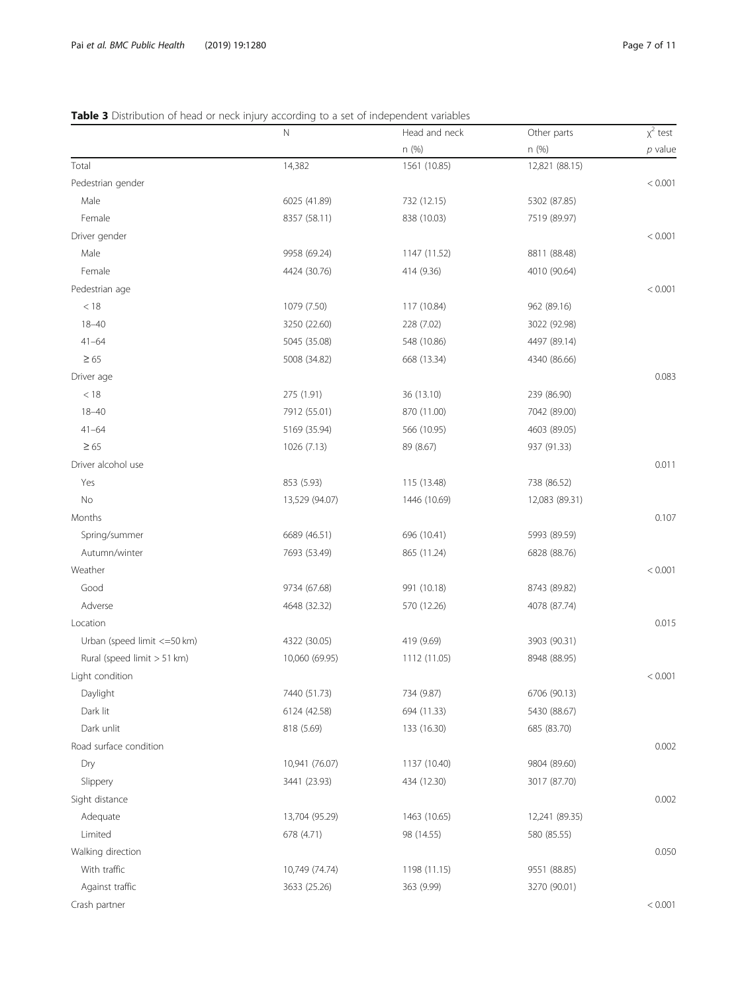## <span id="page-6-0"></span>Table 3 Distribution of head or neck injury according to a set of independent variables

|                              | N              | Head and neck | Other parts    | $x^2$ test |
|------------------------------|----------------|---------------|----------------|------------|
|                              |                | n (%)         | n (%)          | $p$ value  |
| Total                        | 14,382         | 1561 (10.85)  | 12,821 (88.15) |            |
| Pedestrian gender            |                |               |                | < 0.001    |
| Male                         | 6025 (41.89)   | 732 (12.15)   | 5302 (87.85)   |            |
| Female                       | 8357 (58.11)   | 838 (10.03)   | 7519 (89.97)   |            |
| Driver gender                |                |               |                | < 0.001    |
| Male                         | 9958 (69.24)   | 1147 (11.52)  | 8811 (88.48)   |            |
| Female                       | 4424 (30.76)   | 414 (9.36)    | 4010 (90.64)   |            |
| Pedestrian age               |                |               |                | < 0.001    |
| < 18                         | 1079 (7.50)    | 117 (10.84)   | 962 (89.16)    |            |
| $18 - 40$                    | 3250 (22.60)   | 228 (7.02)    | 3022 (92.98)   |            |
| $41 - 64$                    | 5045 (35.08)   | 548 (10.86)   | 4497 (89.14)   |            |
| $\geq 65$                    | 5008 (34.82)   | 668 (13.34)   | 4340 (86.66)   |            |
| Driver age                   |                |               |                | 0.083      |
| < 18                         | 275 (1.91)     | 36 (13.10)    | 239 (86.90)    |            |
| $18 - 40$                    | 7912 (55.01)   | 870 (11.00)   | 7042 (89.00)   |            |
| $41 - 64$                    | 5169 (35.94)   | 566 (10.95)   | 4603 (89.05)   |            |
| $\geq 65$                    | 1026 (7.13)    | 89 (8.67)     | 937 (91.33)    |            |
| Driver alcohol use           |                |               |                | 0.011      |
| Yes                          | 853 (5.93)     | 115 (13.48)   | 738 (86.52)    |            |
| <b>No</b>                    | 13,529 (94.07) | 1446 (10.69)  | 12,083 (89.31) |            |
| Months                       |                |               |                | 0.107      |
| Spring/summer                | 6689 (46.51)   | 696 (10.41)   | 5993 (89.59)   |            |
| Autumn/winter                | 7693 (53.49)   | 865 (11.24)   | 6828 (88.76)   |            |
| Weather                      |                |               |                | < 0.001    |
| Good                         | 9734 (67.68)   | 991 (10.18)   | 8743 (89.82)   |            |
| Adverse                      | 4648 (32.32)   | 570 (12.26)   | 4078 (87.74)   |            |
| Location                     |                |               |                | 0.015      |
| Urban (speed limit <= 50 km) | 4322 (30.05)   | 419 (9.69)    | 3903 (90.31)   |            |
| Rural (speed limit > 51 km)  | 10,060 (69.95) | 1112 (11.05)  | 8948 (88.95)   |            |
| Light condition              |                |               |                | < 0.001    |
| Daylight                     | 7440 (51.73)   | 734 (9.87)    | 6706 (90.13)   |            |
| Dark lit                     | 6124 (42.58)   | 694 (11.33)   | 5430 (88.67)   |            |
| Dark unlit                   | 818 (5.69)     | 133 (16.30)   | 685 (83.70)    |            |
| Road surface condition       |                |               |                | 0.002      |
| Dry                          | 10,941 (76.07) | 1137 (10.40)  | 9804 (89.60)   |            |
| Slippery                     | 3441 (23.93)   | 434 (12.30)   | 3017 (87.70)   |            |
| Sight distance               |                |               |                | 0.002      |
| Adequate                     | 13,704 (95.29) | 1463 (10.65)  | 12,241 (89.35) |            |
| Limited                      | 678 (4.71)     | 98 (14.55)    | 580 (85.55)    |            |
| Walking direction            |                |               |                | 0.050      |
| With traffic                 | 10,749 (74.74) | 1198 (11.15)  | 9551 (88.85)   |            |
| Against traffic              | 3633 (25.26)   | 363 (9.99)    | 3270 (90.01)   |            |
| Crash partner                |                |               |                | < 0.001    |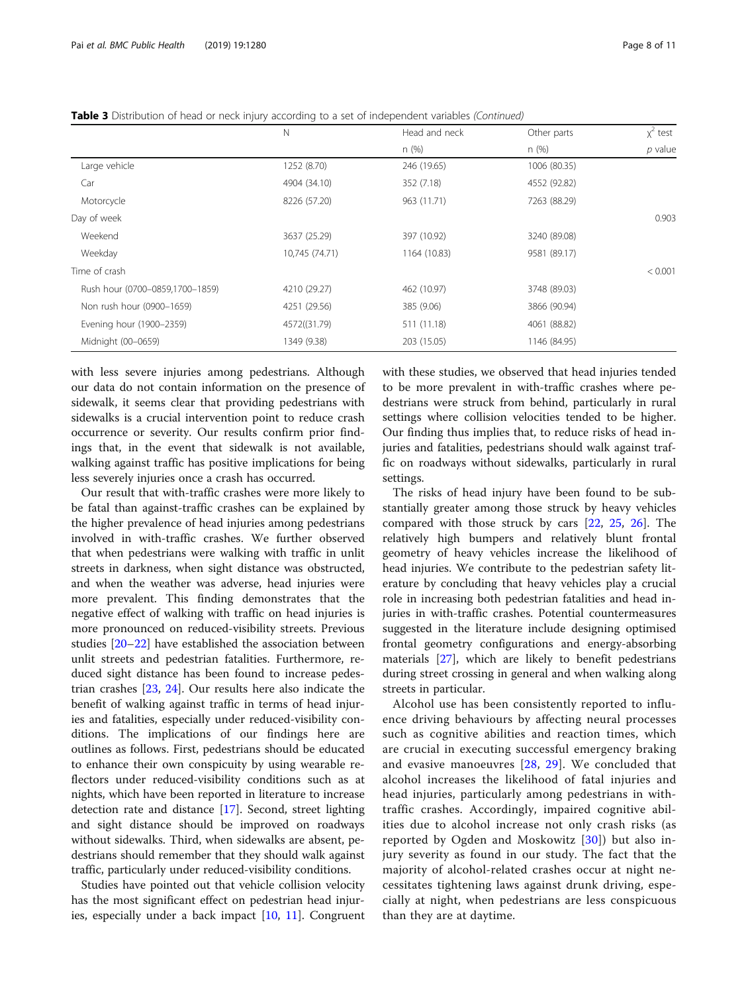|                                 | N              | Head and neck | Other parts  | $x^2$ test |
|---------------------------------|----------------|---------------|--------------|------------|
|                                 |                | n(%)          | n(%)         | $p$ value  |
| Large vehicle                   | 1252 (8.70)    | 246 (19.65)   | 1006 (80.35) |            |
| Car                             | 4904 (34.10)   | 352 (7.18)    | 4552 (92.82) |            |
| Motorcycle                      | 8226 (57.20)   | 963 (11.71)   | 7263 (88.29) |            |
| Day of week                     |                |               |              | 0.903      |
| Weekend                         | 3637 (25.29)   | 397 (10.92)   | 3240 (89.08) |            |
| Weekday                         | 10,745 (74.71) | 1164 (10.83)  | 9581 (89.17) |            |
| Time of crash                   |                |               |              | < 0.001    |
| Rush hour (0700-0859,1700-1859) | 4210 (29.27)   | 462 (10.97)   | 3748 (89.03) |            |
| Non rush hour (0900-1659)       | 4251 (29.56)   | 385 (9.06)    | 3866 (90.94) |            |
| Evening hour (1900-2359)        | 4572((31.79)   | 511 (11.18)   | 4061 (88.82) |            |
| Midnight (00-0659)              | 1349 (9.38)    | 203 (15.05)   | 1146 (84.95) |            |

Table 3 Distribution of head or neck injury according to a set of independent variables (Continued)

with less severe injuries among pedestrians. Although our data do not contain information on the presence of sidewalk, it seems clear that providing pedestrians with sidewalks is a crucial intervention point to reduce crash occurrence or severity. Our results confirm prior findings that, in the event that sidewalk is not available, walking against traffic has positive implications for being less severely injuries once a crash has occurred.

Our result that with-traffic crashes were more likely to be fatal than against-traffic crashes can be explained by the higher prevalence of head injuries among pedestrians involved in with-traffic crashes. We further observed that when pedestrians were walking with traffic in unlit streets in darkness, when sight distance was obstructed, and when the weather was adverse, head injuries were more prevalent. This finding demonstrates that the negative effect of walking with traffic on head injuries is more pronounced on reduced-visibility streets. Previous studies [\[20](#page-9-0)–[22\]](#page-9-0) have established the association between unlit streets and pedestrian fatalities. Furthermore, reduced sight distance has been found to increase pedestrian crashes [\[23,](#page-9-0) [24\]](#page-9-0). Our results here also indicate the benefit of walking against traffic in terms of head injuries and fatalities, especially under reduced-visibility conditions. The implications of our findings here are outlines as follows. First, pedestrians should be educated to enhance their own conspicuity by using wearable reflectors under reduced-visibility conditions such as at nights, which have been reported in literature to increase detection rate and distance [[17\]](#page-9-0). Second, street lighting and sight distance should be improved on roadways without sidewalks. Third, when sidewalks are absent, pedestrians should remember that they should walk against traffic, particularly under reduced-visibility conditions.

Studies have pointed out that vehicle collision velocity has the most significant effect on pedestrian head injuries, especially under a back impact [\[10](#page-9-0), [11](#page-9-0)]. Congruent with these studies, we observed that head injuries tended to be more prevalent in with-traffic crashes where pedestrians were struck from behind, particularly in rural settings where collision velocities tended to be higher. Our finding thus implies that, to reduce risks of head injuries and fatalities, pedestrians should walk against traffic on roadways without sidewalks, particularly in rural settings.

The risks of head injury have been found to be substantially greater among those struck by heavy vehicles compared with those struck by cars [[22](#page-9-0), [25](#page-9-0), [26](#page-9-0)]. The relatively high bumpers and relatively blunt frontal geometry of heavy vehicles increase the likelihood of head injuries. We contribute to the pedestrian safety literature by concluding that heavy vehicles play a crucial role in increasing both pedestrian fatalities and head injuries in with-traffic crashes. Potential countermeasures suggested in the literature include designing optimised frontal geometry configurations and energy-absorbing materials [\[27](#page-9-0)], which are likely to benefit pedestrians during street crossing in general and when walking along streets in particular.

Alcohol use has been consistently reported to influence driving behaviours by affecting neural processes such as cognitive abilities and reaction times, which are crucial in executing successful emergency braking and evasive manoeuvres [[28,](#page-9-0) [29\]](#page-9-0). We concluded that alcohol increases the likelihood of fatal injuries and head injuries, particularly among pedestrians in withtraffic crashes. Accordingly, impaired cognitive abilities due to alcohol increase not only crash risks (as reported by Ogden and Moskowitz [[30](#page-9-0)]) but also injury severity as found in our study. The fact that the majority of alcohol-related crashes occur at night necessitates tightening laws against drunk driving, especially at night, when pedestrians are less conspicuous than they are at daytime.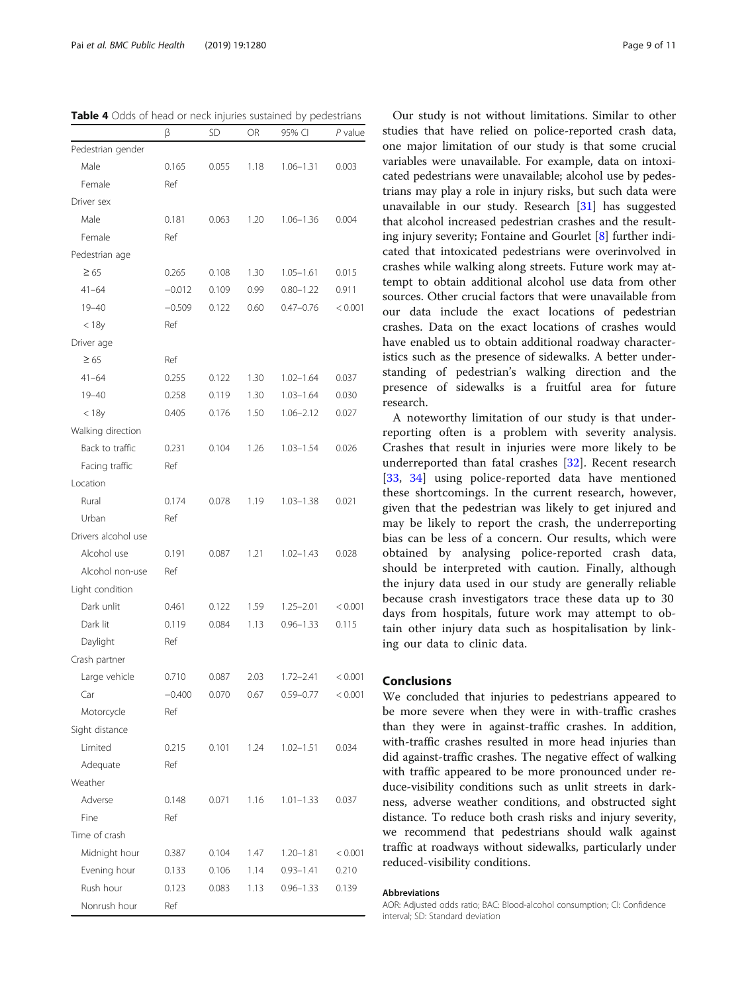<span id="page-8-0"></span>Table 4 Odds of head or neck injuries sustained by pedestrians

|                     | β        | SD    | OR   | 95% CI        | $P$ value |
|---------------------|----------|-------|------|---------------|-----------|
| Pedestrian gender   |          |       |      |               |           |
| Male                | 0.165    | 0.055 | 1.18 | $1.06 - 1.31$ | 0.003     |
| Female              | Ref      |       |      |               |           |
| Driver sex          |          |       |      |               |           |
| Male                | 0.181    | 0.063 | 1.20 | $1.06 - 1.36$ | 0.004     |
| Female              | Ref      |       |      |               |           |
| Pedestrian age      |          |       |      |               |           |
| $\geq 65$           | 0.265    | 0.108 | 1.30 | $1.05 - 1.61$ | 0.015     |
| $41 - 64$           | $-0.012$ | 0.109 | 0.99 | $0.80 - 1.22$ | 0.911     |
| $19 - 40$           | $-0.509$ | 0.122 | 0.60 | $0.47 - 0.76$ | < 0.001   |
| < 18y               | Ref      |       |      |               |           |
| Driver age          |          |       |      |               |           |
| $\geq 65$           | Ref      |       |      |               |           |
| $41 - 64$           | 0.255    | 0.122 | 1.30 | $1.02 - 1.64$ | 0.037     |
| $19 - 40$           | 0.258    | 0.119 | 1.30 | $1.03 - 1.64$ | 0.030     |
| < 18y               | 0.405    | 0.176 | 1.50 | $1.06 - 2.12$ | 0.027     |
| Walking direction   |          |       |      |               |           |
| Back to traffic     | 0.231    | 0.104 | 1.26 | $1.03 - 1.54$ | 0.026     |
| Facing traffic      | Ref      |       |      |               |           |
| Location            |          |       |      |               |           |
| Rural               | 0.174    | 0.078 | 1.19 | $1.03 - 1.38$ | 0.021     |
| Urban               | Ref      |       |      |               |           |
| Drivers alcohol use |          |       |      |               |           |
| Alcohol use         | 0.191    | 0.087 | 1.21 | $1.02 - 1.43$ | 0.028     |
| Alcohol non-use     | Ref      |       |      |               |           |
| Light condition     |          |       |      |               |           |
| Dark unlit          | 0.461    | 0.122 | 1.59 | $1.25 - 2.01$ | < 0.001   |
| Dark lit            | 0.119    | 0.084 | 1.13 | $0.96 - 1.33$ | 0.115     |
| Daylight            | Ref      |       |      |               |           |
| Crash partner       |          |       |      |               |           |
| Large vehicle       | 0.710    | 0.087 | 2.03 | $1.72 - 2.41$ | < 0.001   |
| Car                 | $-0.400$ | 0.070 | 0.67 | $0.59 - 0.77$ | < 0.001   |
| Motorcycle          | Ref      |       |      |               |           |
| Sight distance      |          |       |      |               |           |
| Limited             | 0.215    | 0.101 | 1.24 | $1.02 - 1.51$ | 0.034     |
| Adequate            | Ref      |       |      |               |           |
| Weather             |          |       |      |               |           |
| Adverse             | 0.148    | 0.071 | 1.16 | $1.01 - 1.33$ | 0.037     |
| Fine                | Ref      |       |      |               |           |
| Time of crash       |          |       |      |               |           |
| Midnight hour       | 0.387    | 0.104 | 1.47 | $1.20 - 1.81$ | < 0.001   |
| Evening hour        | 0.133    | 0.106 | 1.14 | $0.93 - 1.41$ | 0.210     |
| Rush hour           | 0.123    | 0.083 | 1.13 | $0.96 - 1.33$ | 0.139     |
| Nonrush hour        | Ref      |       |      |               |           |

Our study is not without limitations. Similar to other studies that have relied on police-reported crash data, one major limitation of our study is that some crucial variables were unavailable. For example, data on intoxicated pedestrians were unavailable; alcohol use by pedestrians may play a role in injury risks, but such data were unavailable in our study. Research [\[31\]](#page-9-0) has suggested that alcohol increased pedestrian crashes and the resulting injury severity; Fontaine and Gourlet [[8\]](#page-9-0) further indicated that intoxicated pedestrians were overinvolved in crashes while walking along streets. Future work may attempt to obtain additional alcohol use data from other sources. Other crucial factors that were unavailable from our data include the exact locations of pedestrian crashes. Data on the exact locations of crashes would have enabled us to obtain additional roadway characteristics such as the presence of sidewalks. A better understanding of pedestrian's walking direction and the presence of sidewalks is a fruitful area for future research.

A noteworthy limitation of our study is that underreporting often is a problem with severity analysis. Crashes that result in injuries were more likely to be underreported than fatal crashes [[32\]](#page-9-0). Recent research [[33,](#page-10-0) [34\]](#page-10-0) using police-reported data have mentioned these shortcomings. In the current research, however, given that the pedestrian was likely to get injured and may be likely to report the crash, the underreporting bias can be less of a concern. Our results, which were obtained by analysing police-reported crash data, should be interpreted with caution. Finally, although the injury data used in our study are generally reliable because crash investigators trace these data up to 30 days from hospitals, future work may attempt to obtain other injury data such as hospitalisation by linking our data to clinic data.

## Conclusions

We concluded that injuries to pedestrians appeared to be more severe when they were in with-traffic crashes than they were in against-traffic crashes. In addition, with-traffic crashes resulted in more head injuries than did against-traffic crashes. The negative effect of walking with traffic appeared to be more pronounced under reduce-visibility conditions such as unlit streets in darkness, adverse weather conditions, and obstructed sight distance. To reduce both crash risks and injury severity, we recommend that pedestrians should walk against traffic at roadways without sidewalks, particularly under reduced-visibility conditions.

#### Abbreviations

AOR: Adjusted odds ratio; BAC: Blood-alcohol consumption; CI: Confidence interval; SD: Standard deviation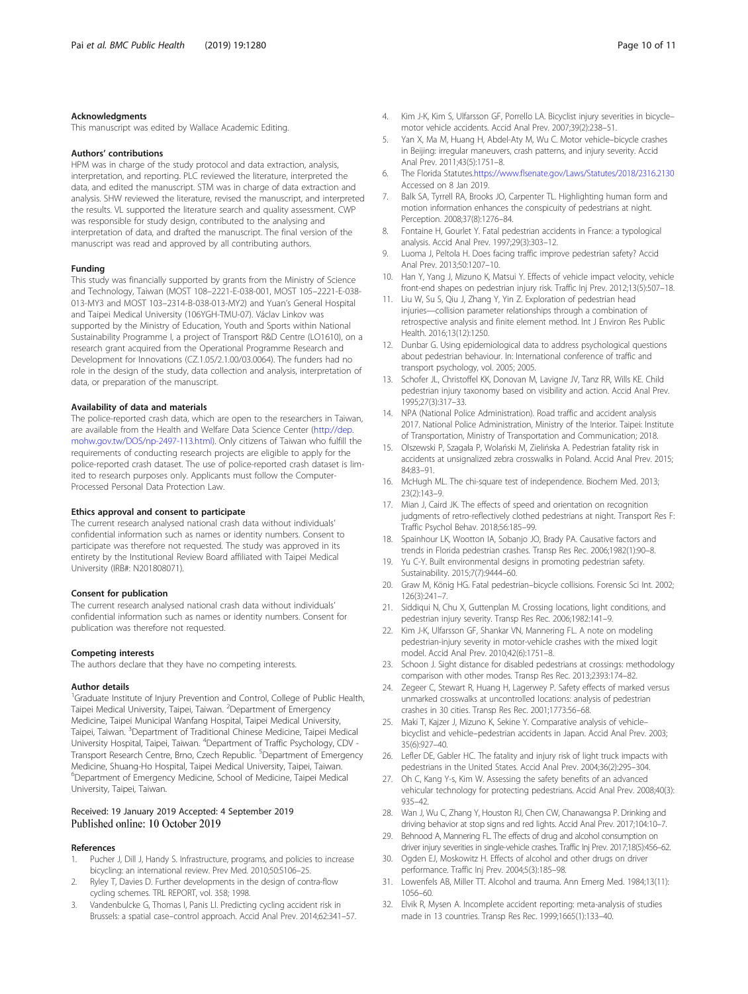#### <span id="page-9-0"></span>Acknowledgments

This manuscript was edited by Wallace Academic Editing.

#### Authors' contributions

HPM was in charge of the study protocol and data extraction, analysis, interpretation, and reporting. PLC reviewed the literature, interpreted the data, and edited the manuscript. STM was in charge of data extraction and analysis. SHW reviewed the literature, revised the manuscript, and interpreted the results. VL supported the literature search and quality assessment. CWP was responsible for study design, contributed to the analysing and interpretation of data, and drafted the manuscript. The final version of the manuscript was read and approved by all contributing authors.

#### Funding

This study was financially supported by grants from the Ministry of Science and Technology, Taiwan (MOST 108–2221-E-038-001, MOST 105–2221-E-038- 013-MY3 and MOST 103–2314-B-038-013-MY2) and Yuan's General Hospital and Taipei Medical University (106YGH-TMU-07). Václav Linkov was supported by the Ministry of Education, Youth and Sports within National Sustainability Programme I, a project of Transport R&D Centre (LO1610), on a research grant acquired from the Operational Programme Research and Development for Innovations (CZ.1.05/2.1.00/03.0064). The funders had no role in the design of the study, data collection and analysis, interpretation of data, or preparation of the manuscript.

#### Availability of data and materials

The police-reported crash data, which are open to the researchers in Taiwan, are available from the Health and Welfare Data Science Center ([http://dep.](http://dep.mohw.gov.tw/DOS/np-2497-113.html) [mohw.gov.tw/DOS/np-2497-113.html](http://dep.mohw.gov.tw/DOS/np-2497-113.html)). Only citizens of Taiwan who fulfill the requirements of conducting research projects are eligible to apply for the police-reported crash dataset. The use of police-reported crash dataset is limited to research purposes only. Applicants must follow the Computer-Processed Personal Data Protection Law.

#### Ethics approval and consent to participate

The current research analysed national crash data without individuals' confidential information such as names or identity numbers. Consent to participate was therefore not requested. The study was approved in its entirety by the Institutional Review Board affiliated with Taipei Medical University (IRB#: N201808071).

#### Consent for publication

The current research analysed national crash data without individuals' confidential information such as names or identity numbers. Consent for publication was therefore not requested.

#### Competing interests

The authors declare that they have no competing interests.

#### Author details

<sup>1</sup>Graduate Institute of Injury Prevention and Control, College of Public Health, Taipei Medical University, Taipei, Taiwan. <sup>2</sup>Department of Emergency Medicine, Taipei Municipal Wanfang Hospital, Taipei Medical University, Taipei, Taiwan. <sup>3</sup>Department of Traditional Chinese Medicine, Taipei Medical University Hospital, Taipei, Taiwan. <sup>4</sup>Department of Traffic Psychology, CDV -Transport Research Centre, Brno, Czech Republic. <sup>5</sup>Department of Emergency Medicine, Shuang-Ho Hospital, Taipei Medical University, Taipei, Taiwan. 6 Department of Emergency Medicine, School of Medicine, Taipei Medical University, Taipei, Taiwan.

## Received: 19 January 2019 Accepted: 4 September 2019

#### References

- Pucher J, Dill J, Handy S. Infrastructure, programs, and policies to increase bicycling: an international review. Prev Med. 2010;50:S106–25.
- 2. Ryley T, Davies D. Further developments in the design of contra-flow cycling schemes. TRL REPORT, vol. 358; 1998.
- 3. Vandenbulcke G, Thomas I, Panis LI. Predicting cycling accident risk in Brussels: a spatial case–control approach. Accid Anal Prev. 2014;62:341–57.
- 4. Kim J-K, Kim S, Ulfarsson GF, Porrello LA. Bicyclist injury severities in bicycle– motor vehicle accidents. Accid Anal Prev. 2007;39(2):238–51.
- 5. Yan X, Ma M, Huang H, Abdel-Aty M, Wu C. Motor vehicle–bicycle crashes in Beijing: irregular maneuvers, crash patterns, and injury severity. Accid Anal Prev. 2011;43(5):1751–8.
- 6. The Florida Statutes[.https://www.flsenate.gov/Laws/Statutes/2018/2316.2130](https://www.flsenate.gov/Laws/Statutes/2018/2316.2130) Accessed on 8 Jan 2019.
- 7. Balk SA, Tyrrell RA, Brooks JO, Carpenter TL. Highlighting human form and motion information enhances the conspicuity of pedestrians at night. Perception. 2008;37(8):1276–84.
- 8. Fontaine H, Gourlet Y. Fatal pedestrian accidents in France: a typological analysis. Accid Anal Prev. 1997;29(3):303–12.
- 9. Luoma J, Peltola H. Does facing traffic improve pedestrian safety? Accid Anal Prev. 2013;50:1207–10.
- 10. Han Y, Yang J, Mizuno K, Matsui Y. Effects of vehicle impact velocity, vehicle front-end shapes on pedestrian injury risk. Traffic Inj Prev. 2012;13(5):507–18.
- 11. Liu W, Su S, Qiu J, Zhang Y, Yin Z. Exploration of pedestrian head injuries—collision parameter relationships through a combination of retrospective analysis and finite element method. Int J Environ Res Public Health. 2016;13(12):1250.
- 12. Dunbar G. Using epidemiological data to address psychological questions about pedestrian behaviour. In: International conference of traffic and transport psychology, vol. 2005; 2005.
- 13. Schofer JL, Christoffel KK, Donovan M, Lavigne JV, Tanz RR, Wills KE. Child pedestrian injury taxonomy based on visibility and action. Accid Anal Prev. 1995;27(3):317–33.
- 14. NPA (National Police Administration). Road traffic and accident analysis 2017. National Police Administration, Ministry of the Interior. Taipei: Institute of Transportation, Ministry of Transportation and Communication; 2018.
- 15. Olszewski P, Szagała P, Wolański M, Zielińska A. Pedestrian fatality risk in accidents at unsignalized zebra crosswalks in Poland. Accid Anal Prev. 2015; 84:83–91.
- 16. McHugh ML. The chi-square test of independence. Biochem Med. 2013; 23(2):143–9.
- 17. Mian J, Caird JK. The effects of speed and orientation on recognition judgments of retro-reflectively clothed pedestrians at night. Transport Res F: Traffic Psychol Behav. 2018;56:185–99.
- 18. Spainhour LK, Wootton IA, Sobanjo JO, Brady PA. Causative factors and trends in Florida pedestrian crashes. Transp Res Rec. 2006;1982(1):90–8.
- 19. Yu C-Y. Built environmental designs in promoting pedestrian safety. Sustainability. 2015;7(7):9444–60.
- 20. Graw M, König HG. Fatal pedestrian–bicycle collisions. Forensic Sci Int. 2002; 126(3):241–7.
- 21. Siddiqui N, Chu X, Guttenplan M. Crossing locations, light conditions, and pedestrian injury severity. Transp Res Rec. 2006;1982:141–9.
- 22. Kim J-K, Ulfarsson GF, Shankar VN, Mannering FL. A note on modeling pedestrian-injury severity in motor-vehicle crashes with the mixed logit model. Accid Anal Prev. 2010;42(6):1751–8.
- 23. Schoon J. Sight distance for disabled pedestrians at crossings: methodology comparison with other modes. Transp Res Rec. 2013;2393:174–82.
- 24. Zegeer C, Stewart R, Huang H, Lagerwey P. Safety effects of marked versus unmarked crosswalks at uncontrolled locations: analysis of pedestrian crashes in 30 cities. Transp Res Rec. 2001;1773:56–68.
- 25. Maki T, Kajzer J, Mizuno K, Sekine Y. Comparative analysis of vehicle– bicyclist and vehicle–pedestrian accidents in Japan. Accid Anal Prev. 2003; 35(6):927–40.
- 26. Lefler DE, Gabler HC. The fatality and injury risk of light truck impacts with pedestrians in the United States. Accid Anal Prev. 2004;36(2):295–304.
- 27. Oh C, Kang Y-s, Kim W. Assessing the safety benefits of an advanced vehicular technology for protecting pedestrians. Accid Anal Prev. 2008;40(3): 935–42.
- 28. Wan J, Wu C, Zhang Y, Houston RJ, Chen CW, Chanawangsa P. Drinking and driving behavior at stop signs and red lights. Accid Anal Prev. 2017;104:10–7.
- 29. Behnood A, Mannering FL. The effects of drug and alcohol consumption on driver injury severities in single-vehicle crashes. Traffic Inj Prev. 2017;18(5):456–62.
- 30. Ogden EJ, Moskowitz H. Effects of alcohol and other drugs on driver performance. Traffic Inj Prev. 2004;5(3):185–98.
- 31. Lowenfels AB, Miller TT. Alcohol and trauma. Ann Emerg Med. 1984;13(11): 1056–60.
- 32. Elvik R, Mysen A. Incomplete accident reporting: meta-analysis of studies made in 13 countries. Transp Res Rec. 1999;1665(1):133–40.